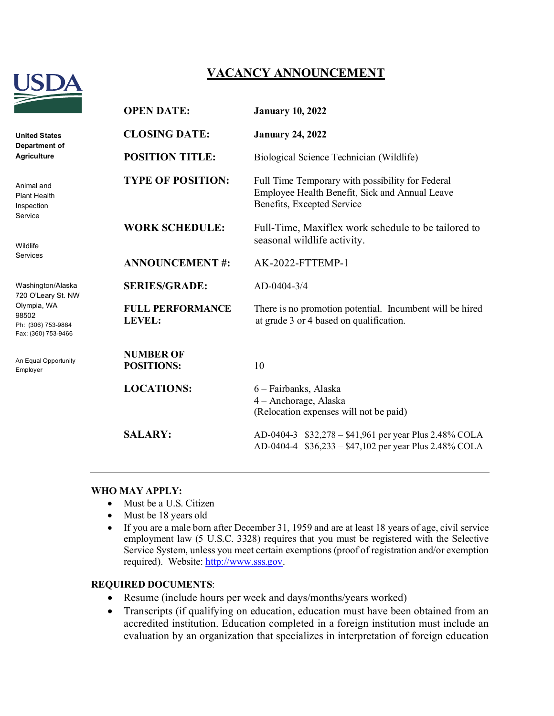

# **VACANCY ANNOUNCEMENT**

|                                                                                                              | <b>OPEN DATE:</b>                        | <b>January 10, 2022</b>                                                                                                          |
|--------------------------------------------------------------------------------------------------------------|------------------------------------------|----------------------------------------------------------------------------------------------------------------------------------|
| <b>United States</b><br>Department of<br><b>Agriculture</b>                                                  | <b>CLOSING DATE:</b>                     | <b>January 24, 2022</b>                                                                                                          |
|                                                                                                              | <b>POSITION TITLE:</b>                   | Biological Science Technician (Wildlife)                                                                                         |
| Animal and<br><b>Plant Health</b><br>Inspection<br>Service                                                   | <b>TYPE OF POSITION:</b>                 | Full Time Temporary with possibility for Federal<br>Employee Health Benefit, Sick and Annual Leave<br>Benefits, Excepted Service |
| Wildlife<br>Services                                                                                         | <b>WORK SCHEDULE:</b>                    | Full-Time, Maxiflex work schedule to be tailored to<br>seasonal wildlife activity.                                               |
|                                                                                                              | <b>ANNOUNCEMENT#:</b>                    | <b>AK-2022-FTTEMP-1</b>                                                                                                          |
| Washington/Alaska<br>720 O'Leary St. NW<br>Olympia, WA<br>98502<br>Ph: (306) 753-9884<br>Fax: (360) 753-9466 | <b>SERIES/GRADE:</b>                     | AD-0404-3/4                                                                                                                      |
|                                                                                                              | <b>FULL PERFORMANCE</b><br><b>LEVEL:</b> | There is no promotion potential. Incumbent will be hired<br>at grade 3 or 4 based on qualification.                              |
| An Equal Opportunity<br>Employer                                                                             | <b>NUMBER OF</b><br><b>POSITIONS:</b>    | 10                                                                                                                               |
|                                                                                                              | <b>LOCATIONS:</b>                        | 6 - Fairbanks, Alaska<br>4 – Anchorage, Alaska<br>(Relocation expenses will not be paid)                                         |
|                                                                                                              | <b>SALARY:</b>                           | AD-0404-3 \$32,278 - \$41,961 per year Plus 2.48% COLA<br>AD-0404-4 \$36,233 - \$47,102 per year Plus 2.48% COLA                 |

#### **WHO MAY APPLY:**

- Must be a U.S. Citizen
- Must be 18 years old
- If you are a male born after December 31, 1959 and are at least 18 years of age, civil service employment law (5 U.S.C. 3328) requires that you must be registered with the Selective Service System, unless you meet certain exemptions (proof of registration and/or exemption required). Website: [http://www.sss.gov.](http://www.sss.gov/)

#### **REQUIRED DOCUMENTS**:

- Resume (include hours per week and days/months/years worked)
- Transcripts (if qualifying on education, education must have been obtained from an accredited institution. Education completed in a foreign institution must include an evaluation by an organization that specializes in interpretation of foreign education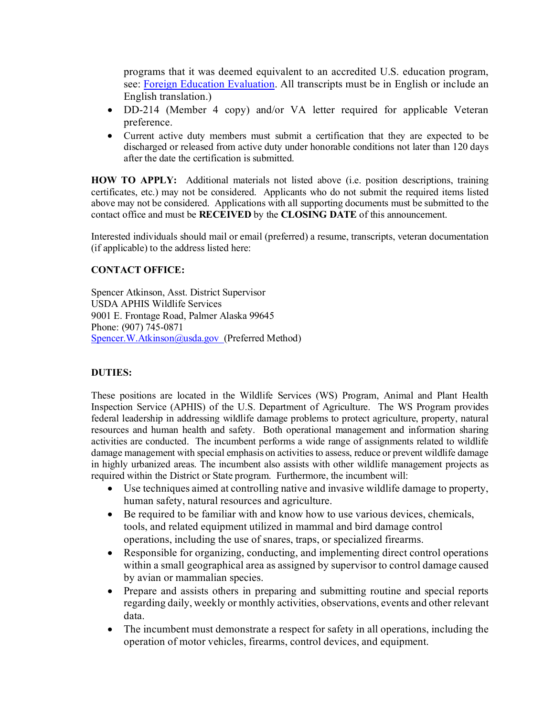programs that it was deemed equivalent to an accredited U.S. education program, see: [Foreign Education Evaluation.](https://gcc02.safelinks.protection.outlook.com/?url=https%3A%2F%2Fwww2.ed.gov%2Fabout%2Foffices%2Flist%2Fous%2Finternational%2Fusnei%2Fus%2Fedlite-visitus-forrecog.html&data=04%7C01%7C%7C11943fc5b6c744a1eaf808d994b380cb%7Ced5b36e701ee4ebc867ee03cfa0d4697%7C0%7C0%7C637704320942882445%7CUnknown%7CTWFpbGZsb3d8eyJWIjoiMC4wLjAwMDAiLCJQIjoiV2luMzIiLCJBTiI6Ik1haWwiLCJXVCI6Mn0%3D%7C1000&sdata=eFM%2FAEJF94arMiZPRhoualSYFFlEfxpUZC5TLPZiDNg%3D&reserved=0) All transcripts must be in English or include an English translation.)

- DD-214 (Member 4 copy) and/or VA letter required for applicable Veteran preference.
- Current active duty members must submit a certification that they are expected to be discharged or released from active duty under honorable conditions not later than 120 days after the date the certification is submitted.

**HOW TO APPLY:** Additional materials not listed above (i.e. position descriptions, training certificates, etc.) may not be considered. Applicants who do not submit the required items listed above may not be considered. Applications with all supporting documents must be submitted to the contact office and must be **RECEIVED** by the **CLOSING DATE** of this announcement.

Interested individuals should mail or email (preferred) a resume, transcripts, veteran documentation (if applicable) to the address listed here:

# **CONTACT OFFICE:**

Spencer Atkinson, Asst. District Supervisor USDA APHIS Wildlife Services 9001 E. Frontage Road, Palmer Alaska 99645 Phone: (907) 745-0871 [Spencer.W.Atkinson@usda.gov](mailto:Spencer.W.Atkinson@usda.gov) (Preferred Method)

#### **DUTIES:**

These positions are located in the Wildlife Services (WS) Program, Animal and Plant Health Inspection Service (APHIS) of the U.S. Department of Agriculture. The WS Program provides federal leadership in addressing wildlife damage problems to protect agriculture, property, natural resources and human health and safety. Both operational management and information sharing activities are conducted. The incumbent performs a wide range of assignments related to wildlife damage management with special emphasis on activities to assess, reduce or prevent wildlife damage in highly urbanized areas. The incumbent also assists with other wildlife management projects as required within the District or State program. Furthermore, the incumbent will:

- Use techniques aimed at controlling native and invasive wildlife damage to property, human safety, natural resources and agriculture.
- Be required to be familiar with and know how to use various devices, chemicals, tools, and related equipment utilized in mammal and bird damage control operations, including the use of snares, traps, or specialized firearms.
- Responsible for organizing, conducting, and implementing direct control operations within a small geographical area as assigned by supervisor to control damage caused by avian or mammalian species.
- Prepare and assists others in preparing and submitting routine and special reports regarding daily, weekly or monthly activities, observations, events and other relevant data.
- The incumbent must demonstrate a respect for safety in all operations, including the operation of motor vehicles, firearms, control devices, and equipment.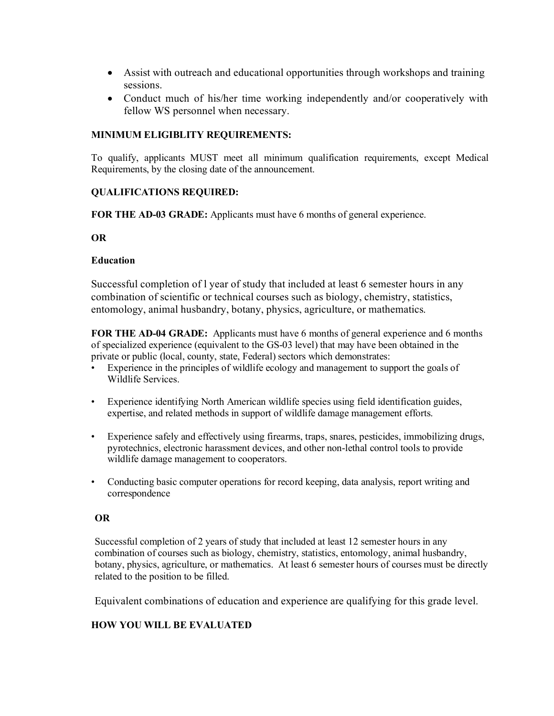- Assist with outreach and educational opportunities through workshops and training sessions.
- Conduct much of his/her time working independently and/or cooperatively with fellow WS personnel when necessary.

## **MINIMUM ELIGIBLITY REQUIREMENTS:**

To qualify, applicants MUST meet all minimum qualification requirements, except Medical Requirements, by the closing date of the announcement.

## **QUALIFICATIONS REQUIRED:**

**FOR THE AD-03 GRADE:** Applicants must have 6 months of general experience.

#### **OR**

## **Education**

Successful completion of l year of study that included at least 6 semester hours in any combination of scientific or technical courses such as biology, chemistry, statistics, entomology, animal husbandry, botany, physics, agriculture, or mathematics.

**FOR THE AD-04 GRADE:** Applicants must have 6 months of general experience and 6 months of specialized experience (equivalent to the GS-03 level) that may have been obtained in the private or public (local, county, state, Federal) sectors which demonstrates:

- Experience in the principles of wildlife ecology and management to support the goals of Wildlife Services.
- Experience identifying North American wildlife species using field identification guides, expertise, and related methods in support of wildlife damage management efforts.
- Experience safely and effectively using firearms, traps, snares, pesticides, immobilizing drugs, pyrotechnics, electronic harassment devices, and other non-lethal control tools to provide wildlife damage management to cooperators.
- Conducting basic computer operations for record keeping, data analysis, report writing and correspondence

# **OR**

Successful completion of 2 years of study that included at least 12 semester hours in any combination of courses such as biology, chemistry, statistics, entomology, animal husbandry, botany, physics, agriculture, or mathematics. At least 6 semester hours of courses must be directly related to the position to be filled.

Equivalent combinations of education and experience are qualifying for this grade level.

#### **HOW YOU WILL BE EVALUATED**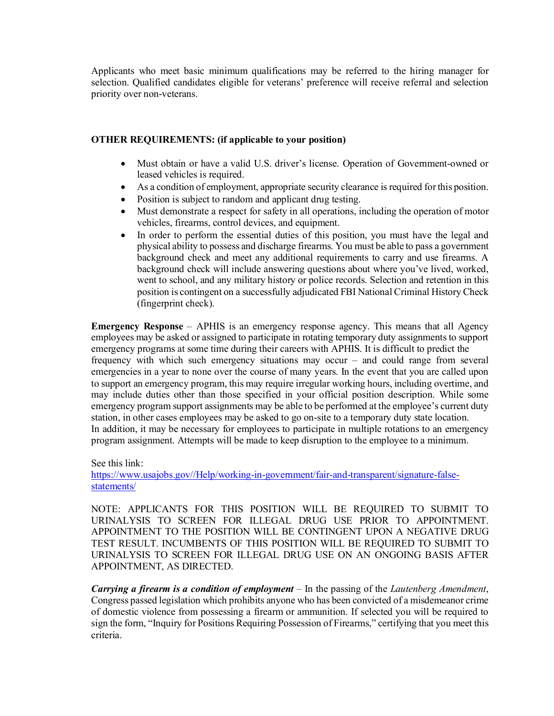Applicants who meet basic minimum qualifications may be referred to the hiring manager for selection. Qualified candidates eligible for veterans' preference will receive referral and selection priority over non-veterans.

## **OTHER REQUIREMENTS: (if applicable to your position)**

- Must obtain or have a valid U.S. driver's license. Operation of Government-owned or leased vehicles is required.
- As a condition of employment, appropriate security clearance is required for this position.
- Position is subject to random and applicant drug testing.
- Must demonstrate a respect for safety in all operations, including the operation of motor vehicles, firearms, control devices, and equipment.
- In order to perform the essential duties of this position, you must have the legal and physical ability to possess and discharge firearms. You must be able to pass a government background check and meet any additional requirements to carry and use firearms. A background check will include answering questions about where you've lived, worked, went to school, and any military history or police records. Selection and retention in this position is contingent on a successfully adjudicated FBI National Criminal History Check (fingerprint check).

**Emergency Response** – APHIS is an emergency response agency. This means that all Agency employees may be asked or assigned to participate in rotating temporary duty assignments to support emergency programs at some time during their careers with APHIS. It is difficult to predict the frequency with which such emergency situations may occur – and could range from several emergencies in a year to none over the course of many years. In the event that you are called upon to support an emergency program, this may require irregular working hours, including overtime, and may include duties other than those specified in your official position description. While some emergency program support assignments may be able to be performed at the employee's current duty station, in other cases employees may be asked to go on-site to a temporary duty state location. In addition, it may be necessary for employees to participate in multiple rotations to an emergency program assignment. Attempts will be made to keep disruption to the employee to a minimum.

See this link:

[https://www.usajobs.gov//Help/working-in-government/fair-and-transparent/signature-false](https://www.usajobs.gov/Help/working-in-government/fair-and-transparent/signature-false-statements/)[statements/](https://www.usajobs.gov/Help/working-in-government/fair-and-transparent/signature-false-statements/)

NOTE: APPLICANTS FOR THIS POSITION WILL BE REQUIRED TO SUBMIT TO URINALYSIS TO SCREEN FOR ILLEGAL DRUG USE PRIOR TO APPOINTMENT. APPOINTMENT TO THE POSITION WILL BE CONTINGENT UPON A NEGATIVE DRUG TEST RESULT. INCUMBENTS OF THIS POSITION WILL BE REQUIRED TO SUBMIT TO URINALYSIS TO SCREEN FOR ILLEGAL DRUG USE ON AN ONGOING BASIS AFTER APPOINTMENT, AS DIRECTED.

*Carrying a firearm is a condition of employment* – In the passing of the *Lautenberg Amendment*, Congress passed legislation which prohibits anyone who has been convicted of a misdemeanor crime of domestic violence from possessing a firearm or ammunition. If selected you will be required to sign the form, "Inquiry for Positions Requiring Possession of Firearms," certifying that you meet this criteria.